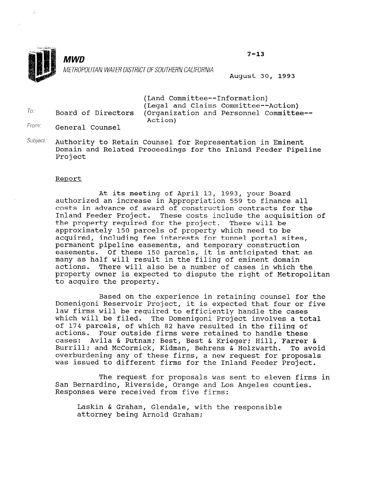

 $To:$ 

**MWD** METROPOLlTAN WATERDlSTRlCTOFSOUTHERNCALlFORNlA August 30, 1993

 $7 - 13$ 

(Land Committee--Information) (Legal and Claims Committee--Action) Board of Directors (Organization and Personnel Committee-- Action)

- From: General Counsel
- Subject: Authority to Retain Counsel for Representation in Eminent Domain and Related Proceedings for the Inland Feeder Pipeline Project

#### Report

At its meeting of April 13, 1993, your Board authorized an increase in Appropriation 559 to finance all costs in advance of award of construction contracts for the Inland Feeder Project. These costs include the acquisition of the property required for the project. There will be approximately 150 parcels of property which need to be acquired, including fee interests for tunnel portal sites, permanent pipeline easements, and temporary construction easements. Of these 150 parcels, it is anticipated that as many as half will result in the filing of eminent domain actions. There will also be a number of cases in which the property owner is expected to dispute the right of Metropolitan to acquire the property.

Based on the experience in retaining counsel for the Domenigoni Reservoir Project, it is expected that four or five law firms will be required to efficiently handle the cases which will be filed. The Domenigoni Project involves a total of 174 parcels, of which 82 have resulted in the filing of actions. Four outside firms were retained to handle these cases: Avila & Putnam; Best, Best & Krieger; Hill, Farrer & Burrill; and McCormick, Kidman, Behrens & Holzwarth. To avoid purifit, and MCCOINTCK, NIGHAN, Benfens & HOIZWAICH. TO AV was issued to different firms for the Inland Feeder Project.

The request for proposals was sent to eleven firms in San Bernardino, Riverside, Orange and Los Angeles counties. San Bernardino, Riverside, Orange and Los Angeles counties.<br>Responses were received from five firms:

Laskin & Graham, Glendale, with the responsible attorney being Arnold Graham;<br>Lattorney being less le Graham;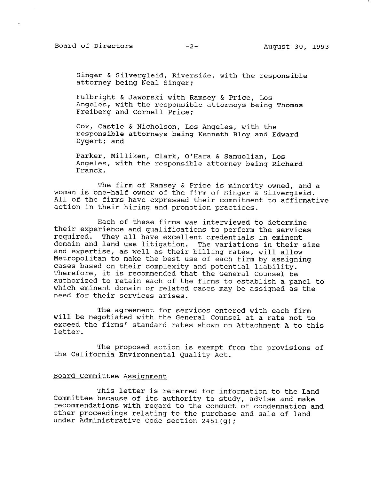Singer & Silvergleid, Riverside, with the responsible attorney being Neal Singer:

Fulbright & Jaworski with Ramsey & Price, Los Angeles, with the responsible attorneys being Thomas Freiberg and Cornell Price;

cox, Castle & Nicholson, Los Angeles, with the responsible attorneys being Kenneth Bley and Edward Dygert; and

Parker, Milliken, Clark, O'Hara & Samuelian, Los Angeles, with the responsible attorney being Richard Franck.

The firm of Ramsey & Price is minority owned, and a woman is one-half owner of the firm of Singer & Silvergleid. All of the firms have expressed their commitment to affirmative action in their hiring and promotion practices.

Each of these firms was interviewed to determine their experience and qualifications to perform the services required. They all have excellent credentials in eminent domain and land use litigation. The variations in their size and expertise, as well as their billing rates, will allow Metropolitan to make the best use of each firm by assigning cases based on their complexity and potential liability. Therefore, it is recommended that the General Counsel be authorized to retain each of the firms to establish a panel to which eminent domain or related cases may be assigned as the need for their services arises.

The agreement for services entered with each firm will be negotiated with the General Counsel at a rate not to exceed the firms' standard rates shown on Attachment A to this letter.

The proposed action is exempt from the provisions of the California Environmental Quality Act.

# Board Committee Assignment

 $\mathbb{F}$  is the letter is referred for information to the Landscale to the Landscale to the Landscale to the Landscale to the Landscale to the Landscale to the Landscale to the Landscale to the Landscale to the Landscale This letter is referred for information to the Lan Committee because of its authority to study, advise and make recommendations with regard to the conduct of condemnation and other proceedings relating to the purchase and sale of land<br>under Administrative Code section  $2451(q)$ ;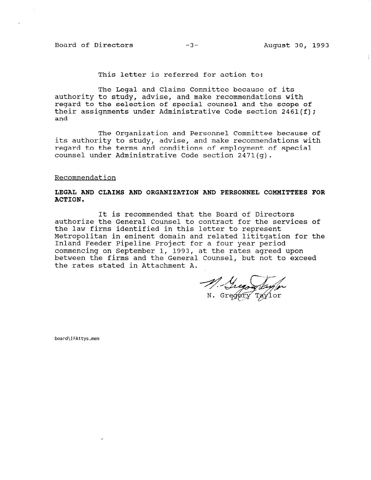# Board of Directors -3- August 30, 1993

This letter is referred for action to:

The Legal and Claims Committee because of its authority to study, advise, and make recommendations with regard to the selection of special counsel and the scope of their assignments under Administrative Code section 2461(f); and

The Organization and Personnel Committee because of its authority to study, advise, and make recommendations with regard to the terms and conditions of employment of special counsel under Administrative Code section 2471(g).

#### Recommendation

### LEGAL AND CLAIMS AND ORGANIZATION AND PERSONNEL COMMITTEES FOR ACTION.

It is recommended that the Board of Directors authorize the General Counsel to contract for the services of the law firms identified in this letter to represent Metropolitan in eminent domain and related lititgation for the Inland Feeder Pipeline Project for a four year period commencing on September 1, 1993, at the rates agreed upon between the firms and the General Counsel, but not to exceed the rates stated in Attachment A.

M. Shegory Layfor

board\IFAttys.mem

 $\delta$